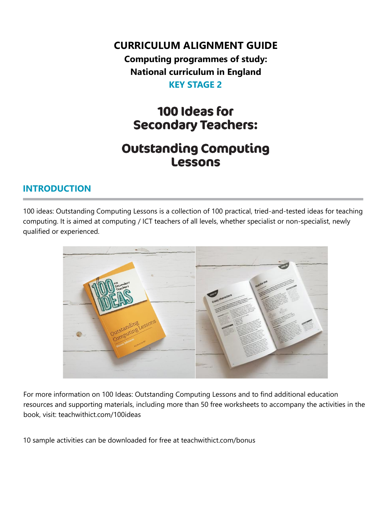**CURRICULUM ALIGNMENT GUIDE**

**Computing programmes of study: National curriculum in England KEY STAGE 2**

## 100 Ideas for **Secondary Teachers:**

## **Outstanding Computing** Lessons

## **INTRODUCTION**

100 ideas: Outstanding Computing Lessons is a collection of 100 practical, tried-and-tested ideas for teaching computing. It is aimed at computing / ICT teachers of all levels, whether specialist or non-specialist, newly qualified or experienced.



For more information on 100 Ideas: Outstanding Computing Lessons and to find additional education resources and supporting materials, including more than 50 free worksheets to accompany the activities in the book, visit: teachwithict.com/100ideas

10 sample activities can be downloaded for free at teachwithict.com/bonus